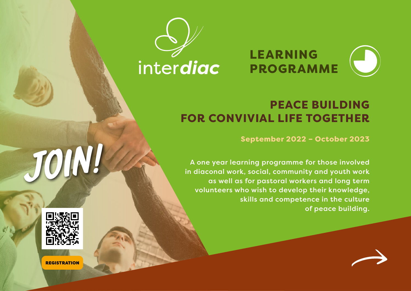



# PEACE BUILDING FOR CONVIVIAL LIFE TOGETHER

September 2022 – October 2023

A one year learning programme for those involved in diaconal work, social, community and youth work as well as for pastoral workers and long term volunteers who wish to develop their knowledge, skills and competence in the culture of peace building.



join!

**REGISTRATION**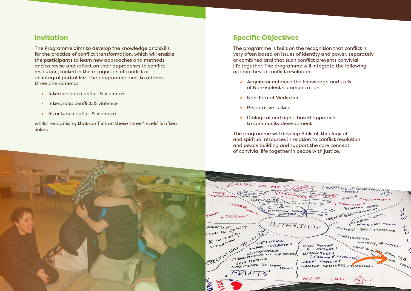#### **Invitation**

The Programme aims to develop the knowledge and skills for the practice of conflict transformation, which will enable the participants to learn new approaches and methods and to revise and reflect on their approaches to conflict resolution, rooted in the recognition of conflict as an integral part of life. The programme aims to address three phenomena:

- Interpersonal conflict & violence
- Intergroup conflict & violence
- Structural conflict & violence

whilst recognising that conflict on these three 'levels' is often linked.

## **Specific Objectives**

The programme is built on the recognition that conflict is very often based on issues of identity and power, separately or combined and that such conflict prevents convivial life together. The programme will integrate the following approaches to conflict resolution:

- Acquire or enhance the knowledge and skills of Non-Violent Communication
- Non-formal Mediation
- Restorative justice
- Dialogical and rights based approach to community development

The programme will develop Biblical, theological and spiritual resources in relation to conflict resolution and peace building and support the core concept of convivial life together in peace with justice.